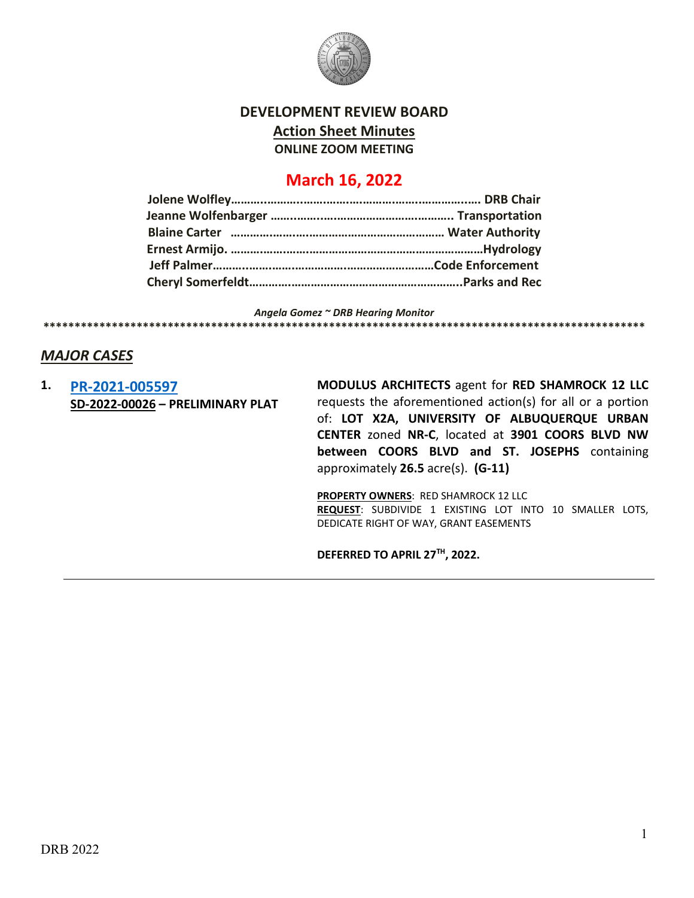

### **DEVELOPMENT REVIEW BOARD Action Sheet Minutes ONLINE ZOOM MEETING**

## **March 16, 2022**

*Angela Gomez ~ DRB Hearing Monitor* **\*\*\*\*\*\*\*\*\*\*\*\*\*\*\*\*\*\*\*\*\*\*\*\*\*\*\*\*\*\*\*\*\*\*\*\*\*\*\*\*\*\*\*\*\*\*\*\*\*\*\*\*\*\*\*\*\*\*\*\*\*\*\*\*\*\*\*\*\*\*\*\*\*\*\*\*\*\*\*\*\*\*\*\*\*\*\*\*\*\*\*\*\*\*\*\*\***

#### *MAJOR CASES*

**1. [PR-2021-005597](http://data.cabq.gov/government/planning/DRB/PR-2021-005597/DRB%20Submittals/PR-2021-005597_(SD-2022-00026)_March_16_2022%20(PP)/PR-2021-005597_Mar_16_2022%20(PP).pdf) SD-2022-00026 – PRELIMINARY PLAT** **MODULUS ARCHITECTS** agent for **RED SHAMROCK 12 LLC** requests the aforementioned action(s) for all or a portion of: **LOT X2A, UNIVERSITY OF ALBUQUERQUE URBAN CENTER** zoned **NR-C**, located at **3901 COORS BLVD NW between COORS BLVD and ST. JOSEPHS** containing approximately **26.5** acre(s). **(G-11)**

**PROPERTY OWNERS**: RED SHAMROCK 12 LLC **REQUEST**: SUBDIVIDE 1 EXISTING LOT INTO 10 SMALLER LOTS, DEDICATE RIGHT OF WAY, GRANT EASEMENTS

**DEFERRED TO APRIL 27TH, 2022.**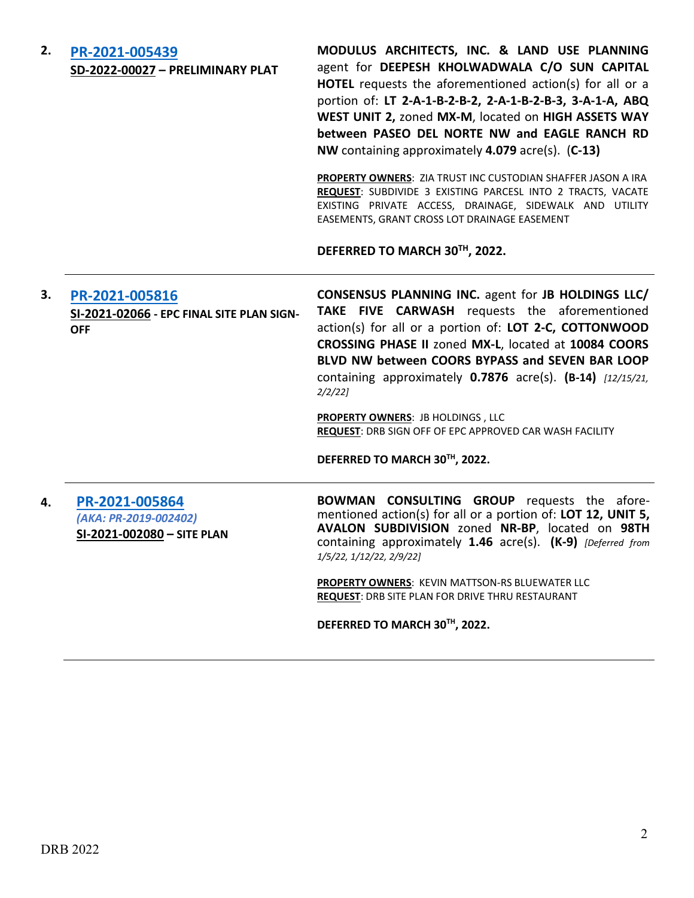| 2. | PR-2021-005439<br>SD-2022-00027 - PRELIMINARY PLAT                        | MODULUS ARCHITECTS, INC. & LAND USE PLANNING<br>agent for DEEPESH KHOLWADWALA C/O SUN CAPITAL<br>HOTEL requests the aforementioned action(s) for all or a<br>portion of: LT 2-A-1-B-2-B-2, 2-A-1-B-2-B-3, 3-A-1-A, ABQ<br>WEST UNIT 2, zoned MX-M, located on HIGH ASSETS WAY<br>between PASEO DEL NORTE NW and EAGLE RANCH RD<br>NW containing approximately 4.079 acre(s). (C-13) |  |
|----|---------------------------------------------------------------------------|-------------------------------------------------------------------------------------------------------------------------------------------------------------------------------------------------------------------------------------------------------------------------------------------------------------------------------------------------------------------------------------|--|
|    |                                                                           | PROPERTY OWNERS: ZIA TRUST INC CUSTODIAN SHAFFER JASON A IRA<br>REQUEST: SUBDIVIDE 3 EXISTING PARCESL INTO 2 TRACTS, VACATE<br>EXISTING PRIVATE ACCESS, DRAINAGE, SIDEWALK AND UTILITY<br>EASEMENTS, GRANT CROSS LOT DRAINAGE EASEMENT                                                                                                                                              |  |
|    |                                                                           | DEFERRED TO MARCH 30TH, 2022.                                                                                                                                                                                                                                                                                                                                                       |  |
| З. | PR-2021-005816<br>SI-2021-02066 - EPC FINAL SITE PLAN SIGN-<br><b>OFF</b> | CONSENSUS PLANNING INC. agent for JB HOLDINGS LLC/<br>TAKE FIVE CARWASH requests the aforementioned<br>action(s) for all or a portion of: LOT 2-C, COTTONWOOD<br>CROSSING PHASE II zoned MX-L, located at 10084 COORS<br>BLVD NW between COORS BYPASS and SEVEN BAR LOOP<br>containing approximately $0.7876$ acre(s). $(B-14)$ $[12/15/21]$ ,<br>$2/2/22$ ]                        |  |
|    |                                                                           | <b>PROPERTY OWNERS: JB HOLDINGS, LLC</b><br>REQUEST: DRB SIGN OFF OF EPC APPROVED CAR WASH FACILITY                                                                                                                                                                                                                                                                                 |  |
|    |                                                                           | DEFERRED TO MARCH 30TH, 2022.                                                                                                                                                                                                                                                                                                                                                       |  |
| 4. | PR-2021-005864<br>(AKA: PR-2019-002402)<br>SI-2021-002080 - SITE PLAN     | <b>BOWMAN CONSULTING GROUP</b> requests the afore-<br>mentioned action(s) for all or a portion of: LOT 12, UNIT 5,<br>AVALON SUBDIVISION zoned NR-BP, located on 98TH<br>containing approximately 1.46 acre(s). (K-9) [Deferred from<br>1/5/22, 1/12/22, 2/9/22]                                                                                                                    |  |
|    |                                                                           | PROPERTY OWNERS: KEVIN MATTSON-RS BLUEWATER LLC<br>REQUEST: DRB SITE PLAN FOR DRIVE THRU RESTAURANT                                                                                                                                                                                                                                                                                 |  |
|    |                                                                           | DEFERRED TO MARCH 30TH, 2022.                                                                                                                                                                                                                                                                                                                                                       |  |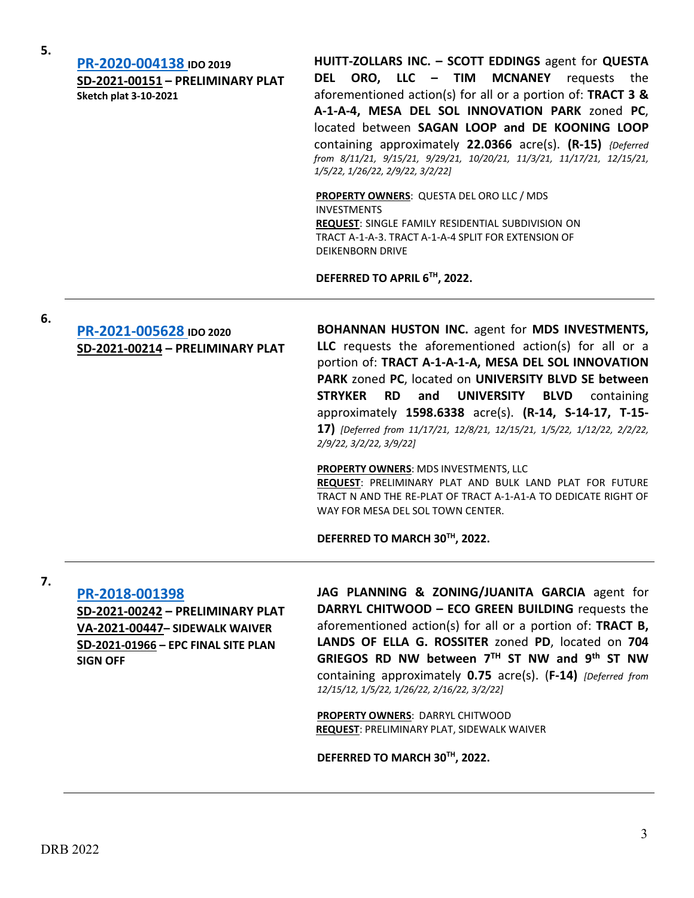**[PR-2020-004138](http://data.cabq.gov/government/planning/DRB/PR-2020-004138/DRB%20Submittals/) IDO 2019 SD-2021-00151 – PRELIMINARY PLAT Sketch plat 3-10-2021**

**HUITT-ZOLLARS INC. – SCOTT EDDINGS** agent for **QUESTA DEL ORO, LLC – TIM MCNANEY** requests the aforementioned action(s) for all or a portion of: **TRACT 3 & A-1-A-4, MESA DEL SOL INNOVATION PARK** zoned **PC**, located between **SAGAN LOOP and DE KOONING LOOP** containing approximately **22.0366** acre(s). **(R-15)** *{Deferred from 8/11/21, 9/15/21, 9/29/21, 10/20/21, 11/3/21, 11/17/21, 12/15/21, 1/5/22, 1/26/22, 2/9/22, 3/2/22]*

**PROPERTY OWNERS**: QUESTA DEL ORO LLC / MDS INVESTMENTS **REQUEST**: SINGLE FAMILY RESIDENTIAL SUBDIVISION ON TRACT A-1-A-3. TRACT A-1-A-4 SPLIT FOR EXTENSION OF DEIKENBORN DRIVE

**DEFERRED TO APRIL 6TH, 2022.**

**6.**

## **[PR-2021-005628](http://data.cabq.gov/government/planning/DRB/PR-2021-005628/DRB%20Submittals/) IDO 2020 SD-2021-00214 – PRELIMINARY PLAT**

**BOHANNAN HUSTON INC.** agent for **MDS INVESTMENTS, LLC** requests the aforementioned action(s) for all or a portion of: **TRACT A-1-A-1-A, MESA DEL SOL INNOVATION PARK** zoned **PC**, located on **UNIVERSITY BLVD SE between STRYKER RD and UNIVERSITY BLVD** containing approximately **1598.6338** acre(s). **(R-14, S-14-17, T-15- 17)** *[Deferred from 11/17/21, 12/8/21, 12/15/21, 1/5/22, 1/12/22, 2/2/22, 2/9/22, 3/2/22, 3/9/22]* 

**PROPERTY OWNERS**: MDS INVESTMENTS, LLC

**REQUEST**: PRELIMINARY PLAT AND BULK LAND PLAT FOR FUTURE TRACT N AND THE RE-PLAT OF TRACT A-1-A1-A TO DEDICATE RIGHT OF WAY FOR MESA DEL SOL TOWN CENTER.

**DEFERRED TO MARCH 30TH, 2022.**

**7.**

#### **[PR-2018-001398](http://data.cabq.gov/government/planning/DRB/PR-2018-001398/DRB%20Submittals/) SD-2021-00242 – PRELIMINARY PLAT VA-2021-00447– SIDEWALK WAIVER SD-2021-01966 – EPC FINAL SITE PLAN SIGN OFF**

**JAG PLANNING & ZONING/JUANITA GARCIA** agent for **DARRYL CHITWOOD – ECO GREEN BUILDING** requests the aforementioned action(s) for all or a portion of: **TRACT B, LANDS OF ELLA G. ROSSITER** zoned **PD**, located on **704 GRIEGOS RD NW between 7TH ST NW and 9th ST NW** containing approximately **0.75** acre(s). (**F-14)** *[Deferred from 12/15/12, 1/5/22, 1/26/22, 2/16/22, 3/2/22]*

**PROPERTY OWNERS**: DARRYL CHITWOOD **REQUEST**: PRELIMINARY PLAT, SIDEWALK WAIVER

**DEFERRED TO MARCH 30TH, 2022.**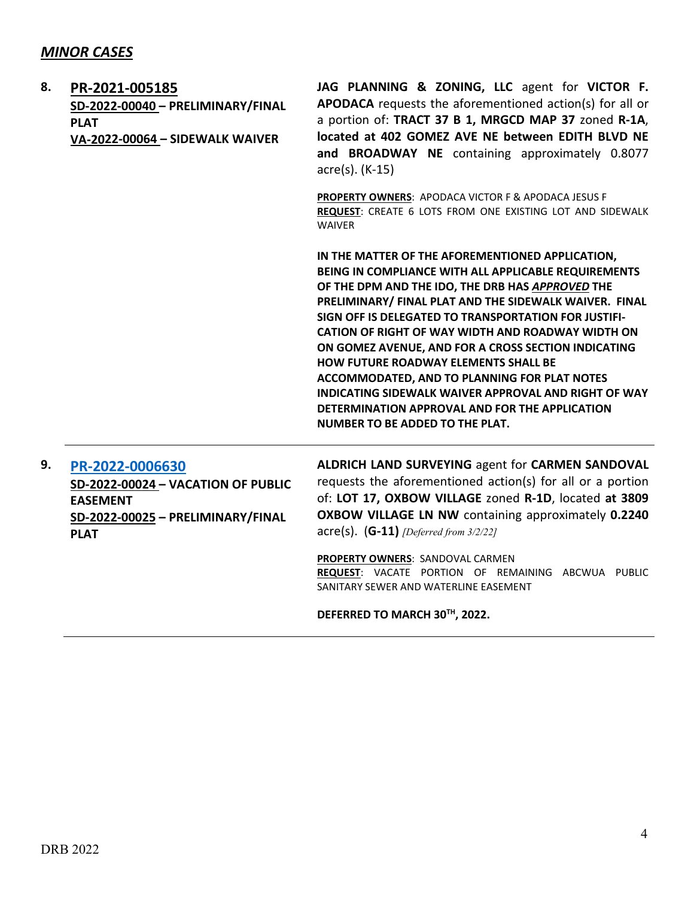| 8. | PR-2021-005185<br>SD-2022-00040 - PRELIMINARY/FINAL<br><b>PLAT</b><br>VA-2022-00064 - SIDEWALK WAIVER                        | JAG PLANNING & ZONING, LLC agent for VICTOR F.<br>APODACA requests the aforementioned action(s) for all or<br>a portion of: TRACT 37 B 1, MRGCD MAP 37 zoned R-1A,<br>located at 402 GOMEZ AVE NE between EDITH BLVD NE<br>and BROADWAY NE containing approximately 0.8077<br>acre(s). (K-15)                                                                                                                                                                                                                                                                                                                                                 |
|----|------------------------------------------------------------------------------------------------------------------------------|-----------------------------------------------------------------------------------------------------------------------------------------------------------------------------------------------------------------------------------------------------------------------------------------------------------------------------------------------------------------------------------------------------------------------------------------------------------------------------------------------------------------------------------------------------------------------------------------------------------------------------------------------|
|    |                                                                                                                              | PROPERTY OWNERS: APODACA VICTOR F & APODACA JESUS F<br>REQUEST: CREATE 6 LOTS FROM ONE EXISTING LOT AND SIDEWALK<br><b>WAIVER</b>                                                                                                                                                                                                                                                                                                                                                                                                                                                                                                             |
|    |                                                                                                                              | IN THE MATTER OF THE AFOREMENTIONED APPLICATION,<br>BEING IN COMPLIANCE WITH ALL APPLICABLE REQUIREMENTS<br>OF THE DPM AND THE IDO, THE DRB HAS APPROVED THE<br>PRELIMINARY/ FINAL PLAT AND THE SIDEWALK WAIVER. FINAL<br>SIGN OFF IS DELEGATED TO TRANSPORTATION FOR JUSTIFI-<br>CATION OF RIGHT OF WAY WIDTH AND ROADWAY WIDTH ON<br>ON GOMEZ AVENUE, AND FOR A CROSS SECTION INDICATING<br>HOW FUTURE ROADWAY ELEMENTS SHALL BE<br><b>ACCOMMODATED, AND TO PLANNING FOR PLAT NOTES</b><br>INDICATING SIDEWALK WAIVER APPROVAL AND RIGHT OF WAY<br>DETERMINATION APPROVAL AND FOR THE APPLICATION<br><b>NUMBER TO BE ADDED TO THE PLAT.</b> |
| 9. | PR-2022-0006630<br>SD-2022-00024 - VACATION OF PUBLIC<br><b>EASEMENT</b><br>SD-2022-00025 - PRELIMINARY/FINAL<br><b>PLAT</b> | ALDRICH LAND SURVEYING agent for CARMEN SANDOVAL<br>requests the aforementioned action(s) for all or a portion<br>of: LOT 17, OXBOW VILLAGE zoned R-1D, located at 3809<br>OXBOW VILLAGE LN NW containing approximately 0.2240<br>$\textsf{acre}(s)$ . (G-11) <i>[Deferred from 3/2/22]</i>                                                                                                                                                                                                                                                                                                                                                   |
|    |                                                                                                                              | PROPERTY OWNERS: SANDOVAL CARMEN<br>REQUEST: VACATE PORTION OF REMAINING ABCWUA PUBLIC<br>SANITARY SEWER AND WATERLINE EASEMENT                                                                                                                                                                                                                                                                                                                                                                                                                                                                                                               |

**DEFERRED TO MARCH 30TH, 2022.**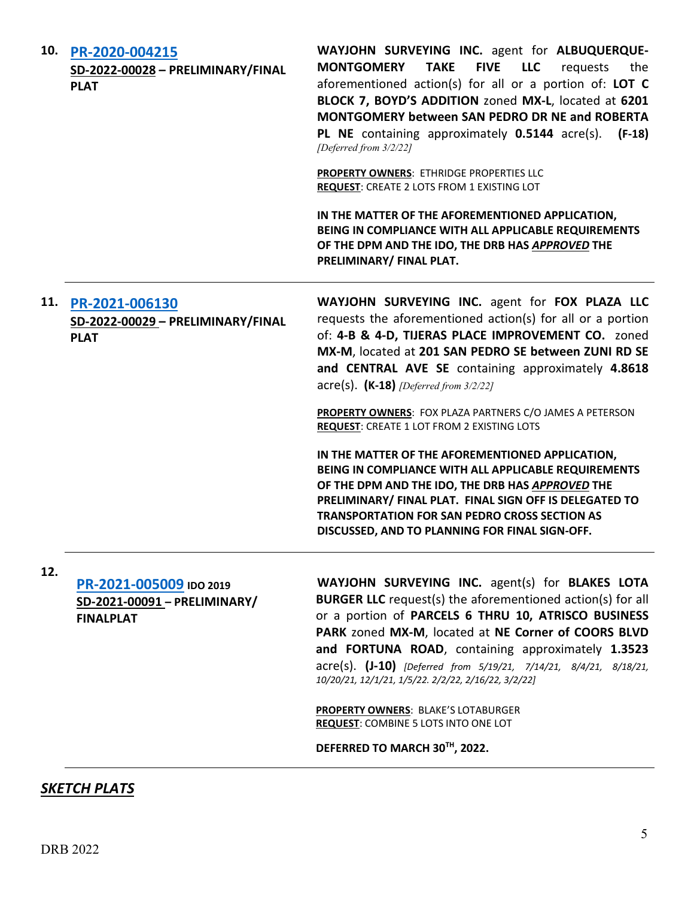| 10. | PR-2020-004215<br>SD-2022-00028 - PRELIMINARY/FINAL<br><b>PLAT</b>          | WAYJOHN SURVEYING INC. agent for ALBUQUERQUE-<br><b>FIVE</b><br><b>MONTGOMERY</b><br><b>TAKE</b><br><b>LLC</b><br>the<br>requests<br>aforementioned action(s) for all or a portion of: LOT C<br>BLOCK 7, BOYD'S ADDITION zoned MX-L, located at 6201<br><b>MONTGOMERY between SAN PEDRO DR NE and ROBERTA</b><br>PL NE containing approximately 0.5144 acre(s).<br>$(F-18)$<br>[Deferred from 3/2/22]<br>PROPERTY OWNERS: ETHRIDGE PROPERTIES LLC<br>REQUEST: CREATE 2 LOTS FROM 1 EXISTING LOT<br>IN THE MATTER OF THE AFOREMENTIONED APPLICATION,<br>BEING IN COMPLIANCE WITH ALL APPLICABLE REQUIREMENTS<br>OF THE DPM AND THE IDO, THE DRB HAS APPROVED THE<br>PRELIMINARY/ FINAL PLAT.                                                                                                       |
|-----|-----------------------------------------------------------------------------|---------------------------------------------------------------------------------------------------------------------------------------------------------------------------------------------------------------------------------------------------------------------------------------------------------------------------------------------------------------------------------------------------------------------------------------------------------------------------------------------------------------------------------------------------------------------------------------------------------------------------------------------------------------------------------------------------------------------------------------------------------------------------------------------------|
| 11. | PR-2021-006130<br>SD-2022-00029 - PRELIMINARY/FINAL<br><b>PLAT</b>          | WAYJOHN SURVEYING INC. agent for FOX PLAZA LLC<br>requests the aforementioned action(s) for all or a portion<br>of: 4-B & 4-D, TIJERAS PLACE IMPROVEMENT CO. zoned<br>MX-M, located at 201 SAN PEDRO SE between ZUNI RD SE<br>and CENTRAL AVE SE containing approximately 4.8618<br>$\text{acre}(s)$ . (K-18) <i>[Deferred from 3/2/22]</i><br>PROPERTY OWNERS: FOX PLAZA PARTNERS C/O JAMES A PETERSON<br><b>REQUEST: CREATE 1 LOT FROM 2 EXISTING LOTS</b><br>IN THE MATTER OF THE AFOREMENTIONED APPLICATION,<br>BEING IN COMPLIANCE WITH ALL APPLICABLE REQUIREMENTS<br>OF THE DPM AND THE IDO, THE DRB HAS APPROVED THE<br>PRELIMINARY/ FINAL PLAT. FINAL SIGN OFF IS DELEGATED TO<br><b>TRANSPORTATION FOR SAN PEDRO CROSS SECTION AS</b><br>DISCUSSED, AND TO PLANNING FOR FINAL SIGN-OFF. |
| 12. | PR-2021-005009 IDO 2019<br>SD-2021-00091 - PRELIMINARY/<br><b>FINALPLAT</b> | WAYJOHN SURVEYING INC. agent(s) for BLAKES LOTA<br><b>BURGER LLC</b> request(s) the aforementioned action(s) for all<br>or a portion of PARCELS 6 THRU 10, ATRISCO BUSINESS<br>PARK zoned MX-M, located at NE Corner of COORS BLVD<br>and FORTUNA ROAD, containing approximately 1.3523<br>acre(s). (J-10) [Deferred from 5/19/21, 7/14/21, 8/4/21, 8/18/21,<br>10/20/21, 12/1/21, 1/5/22. 2/2/22, 2/16/22, 3/2/22]<br>PROPERTY OWNERS: BLAKE'S LOTABURGER<br>REQUEST: COMBINE 5 LOTS INTO ONE LOT<br>DEFERRED TO MARCH 30TH, 2022.                                                                                                                                                                                                                                                               |

# *SKETCH PLATS*